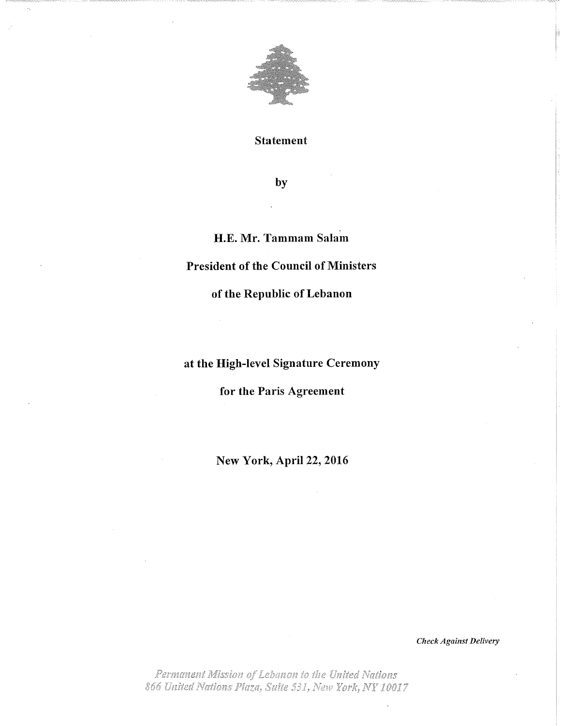

Statement

by

## H.E. Mr. Tammam Salam

## President of the Council of Ministers

of the Republic of Lebanon

at the High-level Signature Ceremony

for the Paris Agreement

New York, April 22, 2016

Check Against Delivery

Permanent Mission of Lebanon to the United Nations 866 United Nations Plaza, Suite 531, New York, NY 10017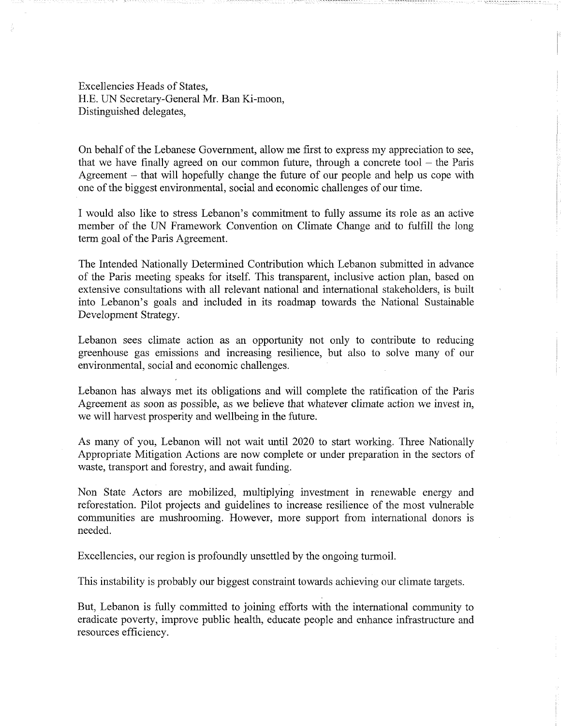Excellencies Heads of States, H.E. UN Secretary-General Mr. Ban Ki-moon, Distinguished delegates,

On behalf of the Lebanese Government, allow me first to express my appreciation to see, that we have finally agreed on our common future, through a concrete tool  $-$  the Paris Agreement – that will hopefully change the future of our people and help us cope with one of the biggest environmental, social and economic challenges of our time.

............... ÿ ÿ .... 222 .........

I would also like to stress Lebanon's commitment to fully assume its role as an active member of the UN Framework Convention on Climate Change arid to fulfill the long term goal of the Paris Agreement.

The Intended Nationally Determined Contribution which Lebanon submitted in advance of the Paris meeting speaks for itself. This transparent, inclusive action plan, based on extensive consultations with all relevant national and international stakeholders, is built into Lebanon's goals and included in its roadmap towards the National Sustainable Development Strategy.

Lebanon sees climate action as an opportunity not only to contribute to reducing greenhouse gas emissions and increasing resilience, but also to solve many of our environmental, social and economic challenges.

Lebanon has always met its obligations and will complete the ratification of the Paris Agreement as soon as possible, as we believe that whatever climate action we invest in, we will harvest prosperity and wellbeing in the future.

As many of you, Lebanon will not wait until 2020 to start working. Three Nationally Appropriate Mitigation Actions are now complete or under preparation in the sectors of waste, transport and forestry, and await funding.

Non State Actors are mobilized, multiplying investment in renewable energy and reforestation. Pilot projects and guidelines to increase resilience of the most vulnerable communities are mushrooming. However, more support from international donors is needed.

Excellencies, our region is profoundly unsettled by the ongoing turmoil.

This instability is probably our biggest constraint towards achieving our climate targets.

But, Lebanon is fully committed to joining efforts with the international community to eradicate poverty, improve public health, educate people and enhance infrastructure and resources efficiency.